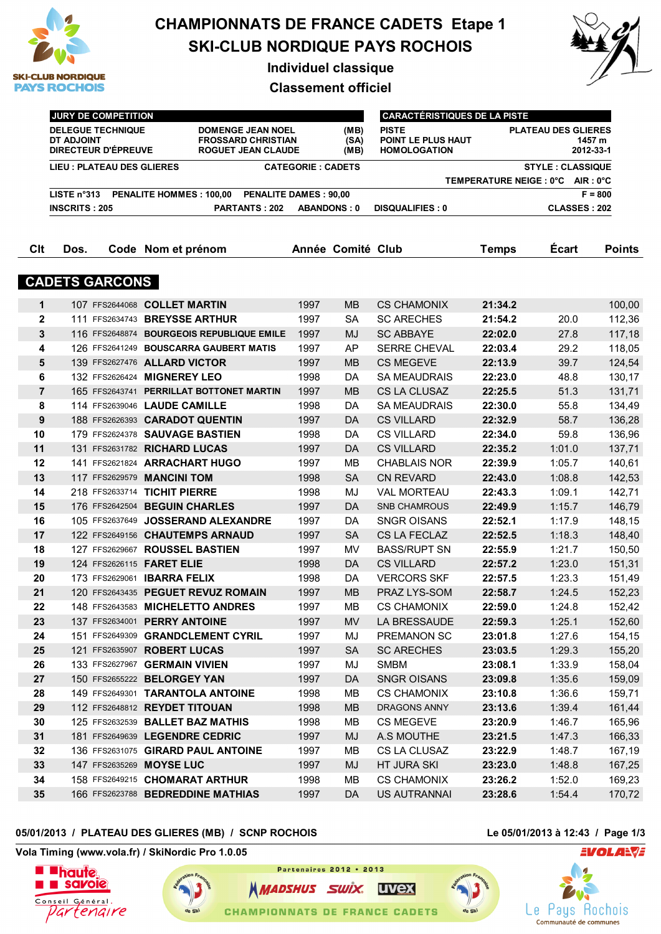

# **CHAMPIONNATS DE FRANCE CADETS Etape 1 SKI-CLUB NORDIQUE PAYS ROCHOIS**

**Individuel classique**

**Classement officiel**



|                | <b>JURY DE COMPETITION</b>                                                                                                                                                                            |                |                                          | <b>CARACTÉRISTIQUES DE LA PISTE</b> |                          |                                                           |                                                   |                     |               |  |
|----------------|-------------------------------------------------------------------------------------------------------------------------------------------------------------------------------------------------------|----------------|------------------------------------------|-------------------------------------|--------------------------|-----------------------------------------------------------|---------------------------------------------------|---------------------|---------------|--|
|                | <b>DELEGUE TECHNIQUE</b><br><b>DOMENGE JEAN NOEL</b><br><b>DT ADJOINT</b><br><b>FROSSARD CHRISTIAN</b><br><b>DIRECTEUR D'ÉPREUVE</b><br><b>ROGUET JEAN CLAUDE</b><br><b>LIEU: PLATEAU DES GLIERES</b> |                |                                          |                                     | (MB)<br>(SA)<br>(MB)     | <b>PISTE</b><br>POINT LE PLUS HAUT<br><b>HOMOLOGATION</b> | <b>PLATEAU DES GLIERES</b><br>1457 m<br>2012-33-1 |                     |               |  |
|                |                                                                                                                                                                                                       |                |                                          |                                     | <b>CATEGORIE: CADETS</b> |                                                           | <b>STYLE: CLASSIQUE</b>                           |                     |               |  |
|                |                                                                                                                                                                                                       |                |                                          |                                     |                          |                                                           | TEMPERATURE NEIGE : 0°C AIR : 0°C                 |                     |               |  |
|                | LISTE n°313                                                                                                                                                                                           |                | <b>PENALITE HOMMES: 100,00</b>           | <b>PENALITE DAMES: 90,00</b>        |                          |                                                           | $F = 800$                                         |                     |               |  |
|                | <b>INSCRITS: 205</b>                                                                                                                                                                                  |                | PARTANTS: 202                            |                                     | <b>ABANDONS: 0</b>       | <b>DISQUALIFIES: 0</b>                                    |                                                   | <b>CLASSES: 202</b> |               |  |
| Clt            | Dos.                                                                                                                                                                                                  |                | Code Nom et prénom                       |                                     | Année Comité Club        |                                                           | <b>Temps</b>                                      | Écart               | <b>Points</b> |  |
|                |                                                                                                                                                                                                       |                |                                          |                                     |                          |                                                           |                                                   |                     |               |  |
|                | <b>CADETS GARCONS</b>                                                                                                                                                                                 |                |                                          |                                     |                          |                                                           |                                                   |                     |               |  |
| $\mathbf{1}$   |                                                                                                                                                                                                       |                | 107 FFS2644068 COLLET MARTIN             | 1997                                | <b>MB</b>                | <b>CS CHAMONIX</b>                                        | 21:34.2                                           |                     | 100,00        |  |
| $\mathbf 2$    |                                                                                                                                                                                                       |                | 111 FFS2634743 BREYSSE ARTHUR            | 1997                                | <b>SA</b>                | <b>SC ARECHES</b>                                         | 21:54.2                                           | 20.0                | 112,36        |  |
| 3              |                                                                                                                                                                                                       | 116 FFS2648874 | <b>BOURGEOIS REPUBLIQUE EMILE</b>        | 1997                                | <b>MJ</b>                | <b>SC ABBAYE</b>                                          | 22:02.0                                           | 27.8                | 117,18        |  |
| 4              |                                                                                                                                                                                                       |                | 126 FFS2641249 BOUSCARRA GAUBERT MATIS   | 1997                                | AP                       | <b>SERRE CHEVAL</b>                                       | 22:03.4                                           | 29.2                | 118,05        |  |
| 5              |                                                                                                                                                                                                       |                | 139 FFS2627476 ALLARD VICTOR             | 1997                                | MВ                       | <b>CS MEGEVE</b>                                          | 22:13.9                                           | 39.7                | 124,54        |  |
| 6              |                                                                                                                                                                                                       |                | 132 FFS2626424 MIGNEREY LEO              | 1998                                | DA                       | <b>SA MEAUDRAIS</b>                                       | 22:23.0                                           | 48.8                | 130,17        |  |
| $\overline{7}$ |                                                                                                                                                                                                       |                | 165 FFS2643741 PERRILLAT BOTTONET MARTIN | 1997                                | <b>MB</b>                | <b>CS LA CLUSAZ</b>                                       | 22:25.5                                           | 51.3                | 131,71        |  |
| 8              |                                                                                                                                                                                                       |                | 114 FFS2639046 LAUDE CAMILLE             | 1998                                | DA                       | <b>SA MEAUDRAIS</b>                                       | 22:30.0                                           | 55.8                | 134,49        |  |
| 9              |                                                                                                                                                                                                       |                | 188 FFS2626393 CARADOT QUENTIN           | 1997                                | DA                       | <b>CS VILLARD</b>                                         | 22:32.9                                           | 58.7                | 136,28        |  |
| 10             |                                                                                                                                                                                                       |                | 179 FFS2624378 SAUVAGE BASTIEN           | 1998                                | <b>DA</b>                | <b>CS VILLARD</b>                                         | 22:34.0                                           | 59.8                | 136,96        |  |
| 11             |                                                                                                                                                                                                       |                | 131 FFS2631782 RICHARD LUCAS             | 1997                                | DA                       | <b>CS VILLARD</b>                                         | 22:35.2                                           | 1:01.0              | 137,71        |  |
| 12             |                                                                                                                                                                                                       |                | 141 FFS2621824 ARRACHART HUGO            | 1997                                | MB                       | <b>CHABLAIS NOR</b>                                       | 22:39.9                                           | 1:05.7              | 140,61        |  |
| 13             |                                                                                                                                                                                                       |                | 117 FFS2629579 MANCINI TOM               | 1998                                | <b>SA</b>                | <b>CN REVARD</b>                                          | 22:43.0                                           | 1:08.8              | 142,53        |  |
| 14             |                                                                                                                                                                                                       |                | 218 FFS2633714 TICHIT PIERRE             | 1998                                | MJ                       | <b>VAL MORTEAU</b>                                        | 22:43.3                                           | 1:09.1              | 142,71        |  |
| 15             |                                                                                                                                                                                                       |                | 176 FFS2642504 BEGUIN CHARLES            | 1997                                | DA                       | <b>SNB CHAMROUS</b>                                       | 22:49.9                                           | 1:15.7              | 146,79        |  |
| 16             |                                                                                                                                                                                                       |                | 105 FFS2637649 JOSSERAND ALEXANDRE       | 1997                                | DA                       | <b>SNGR OISANS</b>                                        | 22:52.1                                           | 1:17.9              | 148,15        |  |
| 17             |                                                                                                                                                                                                       |                | 122 FFS2649156 CHAUTEMPS ARNAUD          | 1997                                | <b>SA</b>                | CS LA FECLAZ                                              | 22:52.5                                           | 1:18.3              | 148,40        |  |
| 18             |                                                                                                                                                                                                       |                | 127 FFS2629667 ROUSSEL BASTIEN           | 1997                                | MV                       | <b>BASS/RUPT SN</b>                                       | 22:55.9                                           | 1:21.7              | 150,50        |  |
| 19             |                                                                                                                                                                                                       |                | 124 FFS2626115 <b>FARET ELIE</b>         | 1998                                | <b>DA</b>                | <b>CS VILLARD</b>                                         | 22:57.2                                           | 1:23.0              | 151,31        |  |
| 20             |                                                                                                                                                                                                       |                | 173 FFS2629061 <b>IBARRA FELIX</b>       | 1998                                | DA                       | <b>VERCORS SKF</b>                                        | 22:57.5                                           | 1:23.3              | 151,49        |  |
| 21             |                                                                                                                                                                                                       |                | 120 FFS2643435 PEGUET REVUZ ROMAIN       | 1997                                | <b>MB</b>                | <b>PRAZ LYS-SOM</b>                                       | 22:58.7                                           | 1:24.5              | 152,23        |  |
| 22             |                                                                                                                                                                                                       |                | 148 FFS2643583 MICHELETTO ANDRES         | 1997                                | MB                       | <b>CS CHAMONIX</b>                                        | 22:59.0                                           | 1:24.8              | 152,42        |  |
| 23             |                                                                                                                                                                                                       |                | 137 FFS2634001 PERRY ANTOINE             | 1997                                | <b>MV</b>                | LA BRESSAUDE                                              | 22:59.3                                           | 1:25.1              | 152,60        |  |
| 24             |                                                                                                                                                                                                       |                | 151 FFS2649309 GRANDCLEMENT CYRIL        | 1997                                | MJ                       | PREMANON SC                                               | 23:01.8                                           | 1:27.6              | 154,15        |  |
| 25             |                                                                                                                                                                                                       | 121 FFS2635907 | <b>ROBERT LUCAS</b>                      | 1997                                | <b>SA</b>                | <b>SC ARECHES</b>                                         | 23:03.5                                           | 1:29.3              | 155,20        |  |
| 26             |                                                                                                                                                                                                       |                | 133 FFS2627967 GERMAIN VIVIEN            | 1997                                | MJ                       | <b>SMBM</b>                                               | 23:08.1                                           | 1:33.9              | 158,04        |  |
| 27             |                                                                                                                                                                                                       |                | 150 FFS2655222 BELORGEY YAN              | 1997                                | DA                       | <b>SNGR OISANS</b>                                        | 23:09.8                                           | 1:35.6              | 159,09        |  |

## **05/01/2013 / PLATEAU DES GLIERES (MB) / SCNP ROCHOIS Le 05/01/2013 à 12:43 / Page 1/3**

EVOLA<del>N</del> **e** Pays Rochois Communauté de communes

**Vola Timing (www.vola.fr) / SkiNordic Pro 1.0.05**





**NMADSHUS SWIX. UVex CHAMPIONNATS DE FRANCE CADETS** 

Partenaires 2012 . 2013

 149 FFS2649301 **TARANTOLA ANTOINE** 1998 MB CS CHAMONIX **23:10.8** 1:36.6 159,71 112 FFS2648812 **REYDET TITOUAN** 1998 MB DRAGONS ANNY **23:13.6** 1:39.4 161,44 125 FFS2632539 **BALLET BAZ MATHIS** 1998 MB CS MEGEVE **23:20.9** 1:46.7 165,96 181 FFS2649639 **LEGENDRE CEDRIC** 1997 MJ A.S MOUTHE **23:21.5** 1:47.3 166,33 136 FFS2631075 **GIRARD PAUL ANTOINE** 1997 MB CS LA CLUSAZ **23:22.9** 1:48.7 167,19 147 FFS2635269 **MOYSE LUC** 1997 MJ HT JURA SKI **23:23.0** 1:48.8 167,25 158 FFS2649215 **CHOMARAT ARTHUR** 1998 MB CS CHAMONIX **23:26.2** 1:52.0 169,23 166 FFS2623788 **BEDREDDINE MATHIAS** 1997 DA US AUTRANNAI **23:28.6** 1:54.4 170,72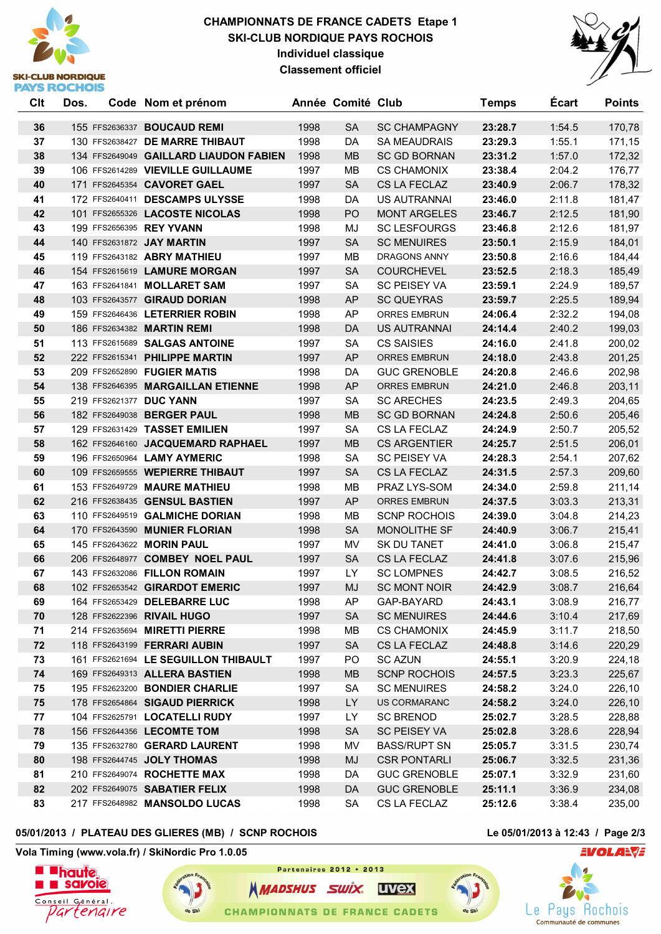# **SKI-CLUB NORDIQUE PAYS ROCHOIS**

### **CHAMPIONNATS DE FRANCE CADETS Etape 1 SKI-CLUB NORDIQUE PAYS ROCHOIS Individuel classique Classement officiel**



| Clt | Dos. | Code Nom et prénom                     |      | Année Comité Club |                     | <b>Temps</b> | <b>Ecart</b> | <b>Points</b> |
|-----|------|----------------------------------------|------|-------------------|---------------------|--------------|--------------|---------------|
| 36  |      | 155 FFS2636337 <b>BOUCAUD REMI</b>     | 1998 | <b>SA</b>         | <b>SC CHAMPAGNY</b> | 23:28.7      | 1:54.5       | 170,78        |
| 37  |      | 130 FFS2638427 DE MARRE THIBAUT        | 1998 | DA                | <b>SA MEAUDRAIS</b> | 23:29.3      | 1:55.1       | 171,15        |
| 38  |      | 134 FFS2649049 GAILLARD LIAUDON FABIEN | 1998 | <b>MB</b>         | <b>SC GD BORNAN</b> | 23:31.2      | 1:57.0       | 172,32        |
| 39  |      | 106 FFS2614289 VIEVILLE GUILLAUME      | 1997 | MB                | <b>CS CHAMONIX</b>  | 23:38.4      | 2:04.2       | 176,77        |
| 40  |      | 171 FFS2645354 CAVORET GAEL            | 1997 | <b>SA</b>         | CS LA FECLAZ        | 23:40.9      | 2:06.7       | 178,32        |
| 41  |      | 172 FFS2640411 DESCAMPS ULYSSE         | 1998 | DA                | <b>US AUTRANNAI</b> | 23:46.0      | 2:11.8       | 181,47        |
| 42  |      | 101 FFS2655326 LACOSTE NICOLAS         | 1998 | P <sub>O</sub>    | <b>MONT ARGELES</b> | 23:46.7      | 2:12.5       | 181,90        |
| 43  |      | 199 FFS2656395 REY YVANN               | 1998 | MJ                | <b>SC LESFOURGS</b> | 23:46.8      | 2:12.6       | 181,97        |
| 44  |      | 140 FFS2631872 JAY MARTIN              | 1997 | <b>SA</b>         | <b>SC MENUIRES</b>  | 23:50.1      | 2:15.9       | 184,01        |
| 45  |      | 119 FFS2643182 ABRY MATHIEU            | 1997 | MB                | DRAGONS ANNY        | 23:50.8      | 2:16.6       | 184,44        |
| 46  |      | 154 FFS2615619 LAMURE MORGAN           | 1997 | <b>SA</b>         | <b>COURCHEVEL</b>   | 23:52.5      | 2:18.3       | 185,49        |
| 47  |      | 163 FFS2641841 MOLLARET SAM            | 1997 | <b>SA</b>         | <b>SC PEISEY VA</b> | 23:59.1      | 2:24.9       | 189,57        |
| 48  |      | 103 FFS2643577 GIRAUD DORIAN           | 1998 | AP                | <b>SC QUEYRAS</b>   | 23:59.7      | 2:25.5       | 189,94        |
| 49  |      | 159 FFS2646436 LETERRIER ROBIN         | 1998 | <b>AP</b>         | <b>ORRES EMBRUN</b> | 24:06.4      | 2:32.2       | 194,08        |
| 50  |      | 186 FFS2634382 MARTIN REMI             | 1998 | DA                | <b>US AUTRANNAI</b> | 24:14.4      | 2:40.2       | 199,03        |
| 51  |      | 113 FFS2615689 SALGAS ANTOINE          | 1997 | <b>SA</b>         | <b>CS SAISIES</b>   | 24:16.0      | 2:41.8       | 200,02        |
| 52  |      | 222 FFS2615341 PHILIPPE MARTIN         | 1997 | <b>AP</b>         | ORRES EMBRUN        | 24:18.0      | 2:43.8       | 201,25        |
| 53  |      | 209 FFS2652890 FUGIER MATIS            | 1998 | DA                | <b>GUC GRENOBLE</b> | 24:20.8      | 2:46.6       | 202,98        |
| 54  |      | 138 FFS2646395 MARGAILLAN ETIENNE      | 1998 | <b>AP</b>         | <b>ORRES EMBRUN</b> | 24:21.0      | 2:46.8       | 203,11        |
| 55  |      | 219 FFS2621377 DUC YANN                | 1997 | <b>SA</b>         | <b>SC ARECHES</b>   | 24:23.5      | 2:49.3       | 204,65        |
| 56  |      | 182 FFS2649038 BERGER PAUL             | 1998 | <b>MB</b>         | <b>SC GD BORNAN</b> | 24:24.8      | 2:50.6       | 205,46        |
| 57  |      | 129 FFS2631429 TASSET EMILIEN          | 1997 | <b>SA</b>         | CS LA FECLAZ        | 24:24.9      | 2:50.7       | 205,52        |
| 58  |      | 162 FFS2646160 JACQUEMARD RAPHAEL      | 1997 | <b>MB</b>         | <b>CS ARGENTIER</b> | 24:25.7      | 2:51.5       | 206,01        |
| 59  |      | 196 FFS2650964 LAMY AYMERIC            | 1998 | <b>SA</b>         | <b>SC PEISEY VA</b> | 24:28.3      | 2:54.1       | 207,62        |
| 60  |      | 109 FFS2659555 WEPIERRE THIBAUT        | 1997 | <b>SA</b>         | CS LA FECLAZ        | 24:31.5      | 2:57.3       | 209,60        |
| 61  |      | 153 FFS2649729 MAURE MATHIEU           | 1998 | MВ                | PRAZ LYS-SOM        | 24:34.0      | 2:59.8       | 211,14        |
| 62  |      | 216 FFS2638435 GENSUL BASTIEN          | 1997 | <b>AP</b>         | ORRES EMBRUN        | 24:37.5      | 3:03.3       | 213,31        |
| 63  |      | 110 FFS2649519 GALMICHE DORIAN         | 1998 | <b>MB</b>         | <b>SCNP ROCHOIS</b> | 24:39.0      | 3:04.8       | 214,23        |
| 64  |      | 170 FFS2643590 MUNIER FLORIAN          | 1998 | <b>SA</b>         | MONOLITHE SF        | 24:40.9      | 3:06.7       | 215,41        |
| 65  |      | 145 FFS2643622 MORIN PAUL              | 1997 | MV                | SK DU TANET         | 24:41.0      | 3:06.8       | 215,47        |
| 66  |      | 206 FFS2648977 COMBEY NOEL PAUL        | 1997 | <b>SA</b>         | CS LA FECLAZ        | 24:41.8      | 3:07.6       | 215,96        |
| 67  |      | 143 FFS2632086 FILLON ROMAIN           | 1997 | LY.               | <b>SC LOMPNES</b>   | 24:42.7      | 3:08.5       | 216,52        |
| 68  |      | 102 FFS2653542 GIRARDOT EMERIC         | 1997 | <b>MJ</b>         | <b>SC MONT NOIR</b> | 24:42.9      | 3:08.7       | 216,64        |
| 69  |      | 164 FFS2653429 DELEBARRE LUC           | 1998 | AP                | GAP-BAYARD          | 24:43.1      | 3:08.9       | 216,77        |
| 70  |      | 128 FFS2622396 RIVAIL HUGO             | 1997 | SA                | <b>SC MENUIRES</b>  | 24:44.6      | 3:10.4       | 217,69        |
| 71  |      | 214 FFS2635694 MIRETTI PIERRE          | 1998 | MВ                | <b>CS CHAMONIX</b>  | 24:45.9      | 3:11.7       | 218,50        |
| 72  |      | 118 FFS2643199 FERRARI AUBIN           | 1997 | <b>SA</b>         | CS LA FECLAZ        | 24:48.8      | 3:14.6       | 220,29        |
| 73  |      | 161 FFS2621694 LE SEGUILLON THIBAULT   | 1997 | PO                | <b>SC AZUN</b>      | 24:55.1      | 3:20.9       | 224,18        |
| 74  |      | 169 FFS2649313 ALLERA BASTIEN          | 1998 | MВ                | <b>SCNP ROCHOIS</b> | 24:57.5      | 3:23.3       | 225,67        |
| 75  |      | 195 FFS2623200 BONDIER CHARLIE         | 1997 | SA                | <b>SC MENUIRES</b>  | 24:58.2      | 3:24.0       | 226,10        |
| 75  |      | 178 FFS2654864 SIGAUD PIERRICK         | 1998 | LY.               | <b>US CORMARANC</b> | 24:58.2      | 3:24.0       | 226,10        |
| 77  |      | 104 FFS2625791 LOCATELLI RUDY          | 1997 | LY                | <b>SC BRENOD</b>    | 25:02.7      | 3:28.5       | 228,88        |
| 78  |      | 156 FFS2644356 LECOMTE TOM             | 1998 | <b>SA</b>         | <b>SC PEISEY VA</b> | 25:02.8      | 3:28.6       | 228,94        |
| 79  |      | 135 FFS2632780 GERARD LAURENT          | 1998 | MV                | <b>BASS/RUPT SN</b> | 25:05.7      | 3:31.5       | 230,74        |
| 80  |      | 198 FFS2644745 JOLY THOMAS             | 1998 | MJ                | <b>CSR PONTARLI</b> | 25:06.7      | 3:32.5       | 231,36        |
| 81  |      | 210 FFS2649074 ROCHETTE MAX            | 1998 | DA                | <b>GUC GRENOBLE</b> | 25:07.1      | 3:32.9       | 231,60        |
| 82  |      | 202 FFS2649075 SABATIER FELIX          | 1998 | DA                | <b>GUC GRENOBLE</b> | 25:11.1      | 3:36.9       | 234,08        |
| 83  |      | 217 FFS2648982 MANSOLDO LUCAS          | 1998 | SA                | CS LA FECLAZ        | 25:12.6      | 3:38.4       | 235,00        |

#### **05/01/2013 / PLATEAU DES GLIERES (MB) / SCNP ROCHOIS Le 05/01/2013 à 12:43 / Page 2/3**

 $d_0$  CV

**Vola Timing (www.vola.fr) / SkiNordic Pro 1.0.05**





**NMADSHUS SWIX. UVEX CHAMPIONNATS DE FRANCE CADETS** 

Partenaires 2012 . 2013